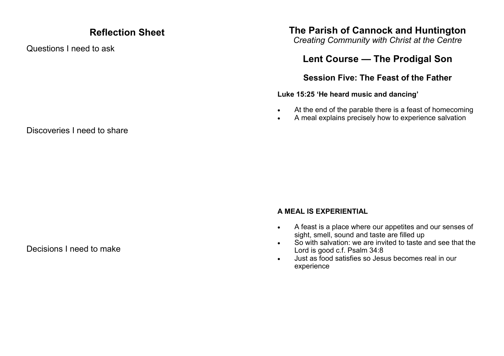## **Reflection Sheet**

Questions I need to ask

## **The Parish of Cannock and Huntington**

*Creating Community with Christ at the Centre*

# **Lent Course — The Prodigal Son**

### **Session Five: The Feast of the Father**

#### **Luke 15:25 'He heard music and dancing'**

- At the end of the parable there is a feast of homecoming
- A meal explains precisely how to experience salvation

### Discoveries I need to share

#### Decisions I need to make

#### **A MEAL IS EXPERIENTIAL**

- A feast is a place where our appetites and our senses of sight, smell, sound and taste are filled up
- So with salvation: we are invited to taste and see that the Lord is good c.f. Psalm 34:8
- Just as food satisfies so Jesus becomes real in our experience